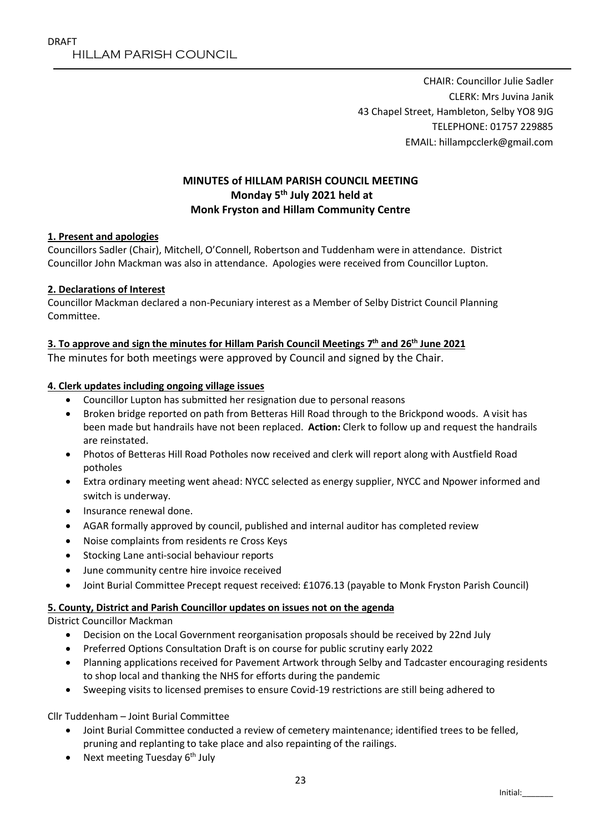CHAIR: Councillor Julie Sadler CLERK: Mrs Juvina Janik 43 Chapel Street, Hambleton, Selby YO8 9JG TELEPHONE: 01757 229885 EMAIL: hillampcclerk@gmail.com

## MINUTES of HILLAM PARISH COUNCIL MEETING Monday 5th July 2021 held at Monk Fryston and Hillam Community Centre

### 1. Present and apologies

Councillors Sadler (Chair), Mitchell, O'Connell, Robertson and Tuddenham were in attendance. District Councillor John Mackman was also in attendance. Apologies were received from Councillor Lupton.

### 2. Declarations of Interest

Councillor Mackman declared a non-Pecuniary interest as a Member of Selby District Council Planning Committee.

### 3. To approve and sign the minutes for Hillam Parish Council Meetings  $7<sup>th</sup>$  and  $26<sup>th</sup>$  June 2021

The minutes for both meetings were approved by Council and signed by the Chair.

### 4. Clerk updates including ongoing village issues

- Councillor Lupton has submitted her resignation due to personal reasons
- Broken bridge reported on path from Betteras Hill Road through to the Brickpond woods. A visit has been made but handrails have not been replaced. Action: Clerk to follow up and request the handrails are reinstated.
- Photos of Betteras Hill Road Potholes now received and clerk will report along with Austfield Road potholes
- Extra ordinary meeting went ahead: NYCC selected as energy supplier, NYCC and Npower informed and switch is underway.
- Insurance renewal done.
- AGAR formally approved by council, published and internal auditor has completed review
- Noise complaints from residents re Cross Keys
- Stocking Lane anti-social behaviour reports
- June community centre hire invoice received
- Joint Burial Committee Precept request received: £1076.13 (payable to Monk Fryston Parish Council)

#### 5. County, District and Parish Councillor updates on issues not on the agenda

District Councillor Mackman

- Decision on the Local Government reorganisation proposals should be received by 22nd July
- Preferred Options Consultation Draft is on course for public scrutiny early 2022
- Planning applications received for Pavement Artwork through Selby and Tadcaster encouraging residents to shop local and thanking the NHS for efforts during the pandemic
- Sweeping visits to licensed premises to ensure Covid-19 restrictions are still being adhered to

### Cllr Tuddenham – Joint Burial Committee

- Joint Burial Committee conducted a review of cemetery maintenance; identified trees to be felled, pruning and replanting to take place and also repainting of the railings.
- Next meeting Tuesday  $6<sup>th</sup>$  July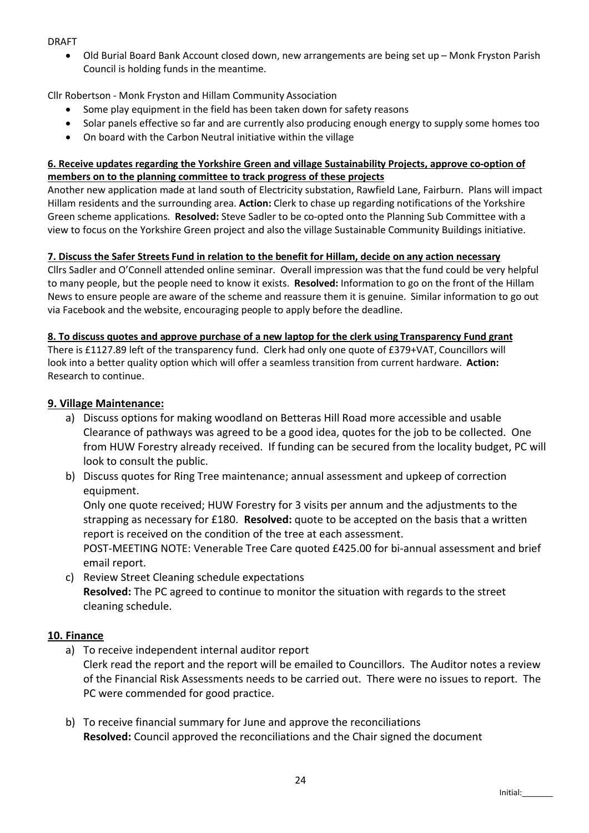### DRAFT

 Old Burial Board Bank Account closed down, new arrangements are being set up – Monk Fryston Parish Council is holding funds in the meantime.

Cllr Robertson - Monk Fryston and Hillam Community Association

- Some play equipment in the field has been taken down for safety reasons
- Solar panels effective so far and are currently also producing enough energy to supply some homes too
- On board with the Carbon Neutral initiative within the village

### 6. Receive updates regarding the Yorkshire Green and village Sustainability Projects, approve co-option of members on to the planning committee to track progress of these projects

Another new application made at land south of Electricity substation, Rawfield Lane, Fairburn. Plans will impact Hillam residents and the surrounding area. Action: Clerk to chase up regarding notifications of the Yorkshire Green scheme applications. Resolved: Steve Sadler to be co-opted onto the Planning Sub Committee with a view to focus on the Yorkshire Green project and also the village Sustainable Community Buildings initiative.

### 7. Discuss the Safer Streets Fund in relation to the benefit for Hillam, decide on any action necessary

Cllrs Sadler and O'Connell attended online seminar. Overall impression was that the fund could be very helpful to many people, but the people need to know it exists. Resolved: Information to go on the front of the Hillam News to ensure people are aware of the scheme and reassure them it is genuine. Similar information to go out via Facebook and the website, encouraging people to apply before the deadline.

### 8. To discuss quotes and approve purchase of a new laptop for the clerk using Transparency Fund grant

There is £1127.89 left of the transparency fund. Clerk had only one quote of £379+VAT, Councillors will look into a better quality option which will offer a seamless transition from current hardware. Action: Research to continue.

### 9. Village Maintenance:

- a) Discuss options for making woodland on Betteras Hill Road more accessible and usable Clearance of pathways was agreed to be a good idea, quotes for the job to be collected. One from HUW Forestry already received. If funding can be secured from the locality budget, PC will look to consult the public.
- b) Discuss quotes for Ring Tree maintenance; annual assessment and upkeep of correction equipment.

Only one quote received; HUW Forestry for 3 visits per annum and the adjustments to the strapping as necessary for  $£180$ . Resolved: quote to be accepted on the basis that a written report is received on the condition of the tree at each assessment.

POST-MEETING NOTE: Venerable Tree Care quoted £425.00 for bi-annual assessment and brief email report.

c) Review Street Cleaning schedule expectations Resolved: The PC agreed to continue to monitor the situation with regards to the street cleaning schedule.

## 10. Finance

- a) To receive independent internal auditor report Clerk read the report and the report will be emailed to Councillors. The Auditor notes a review of the Financial Risk Assessments needs to be carried out. There were no issues to report. The PC were commended for good practice.
- b) To receive financial summary for June and approve the reconciliations Resolved: Council approved the reconciliations and the Chair signed the document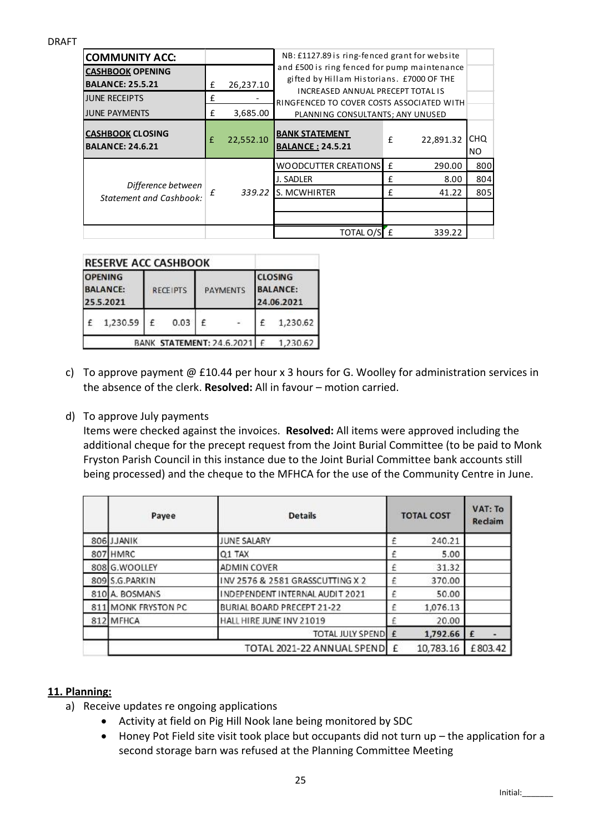| <b>COMMUNITY ACC:</b><br><b>CASHBOOK OPENING</b><br><b>BALANCE: 25.5.21</b><br><b>JUNE RECEIPTS</b><br><b>JUNE PAYMENTS</b> | £<br>£<br>£ | 26,237.10<br>3,685.00 | NB: £1127.89 is ring-fenced grant for website<br>and £500 is ring fenced for pump maintenance<br>gifted by Hillam Historians. £7000 OF THE<br><b>INCREASED ANNUAL PRECEPT TOTAL IS</b><br>RINGFENCED TO COVER COSTS ASSOCIATED WITH<br>PLANNING CONSULTANTS; ANY UNUSED |              |           |                   |
|-----------------------------------------------------------------------------------------------------------------------------|-------------|-----------------------|-------------------------------------------------------------------------------------------------------------------------------------------------------------------------------------------------------------------------------------------------------------------------|--------------|-----------|-------------------|
| <b>CASHBOOK CLOSING</b><br><b>BALANCE: 24.6.21</b>                                                                          | £           | 22,552.10             | <b>BANK STATEMENT</b><br><b>BALANCE: 24.5.21</b>                                                                                                                                                                                                                        | $\mathbf{f}$ | 22,891.32 | <b>CHQ</b><br>NO. |
|                                                                                                                             |             |                       | <b>WOODCUTTER CREATIONS</b>                                                                                                                                                                                                                                             | f            | 290.00    | 800               |
| Difference between<br><b>Statement and Cashbook:</b>                                                                        | f           | 339.22                | J. SADLER                                                                                                                                                                                                                                                               | £            | 8.00      | 804               |
|                                                                                                                             |             |                       | <b>S. MCWHIRTER</b>                                                                                                                                                                                                                                                     | £            | 41.22     | 805               |
|                                                                                                                             |             |                       |                                                                                                                                                                                                                                                                         |              |           |                   |
|                                                                                                                             |             |                       |                                                                                                                                                                                                                                                                         |              |           |                   |
|                                                                                                                             |             |                       | <b>TOTAL O/S</b>                                                                                                                                                                                                                                                        |              | 339.22    |                   |

|                                                | <b>RESERVE ACC CASHBOOK</b> |                 |      |                 |                           |                                                 |          |
|------------------------------------------------|-----------------------------|-----------------|------|-----------------|---------------------------|-------------------------------------------------|----------|
| <b>OPENING</b><br><b>BALANCE:</b><br>25.5.2021 |                             | <b>RECEIPTS</b> |      | <b>PAYMENTS</b> |                           | <b>CLOSING</b><br><b>BALANCE:</b><br>24.06.2021 |          |
|                                                | 1,230.59                    | £               | 0.03 | £               | $\overline{\phantom{a}}$  | £                                               | 1,230.62 |
|                                                |                             |                 |      |                 | BANK STATEMENT: 24.6.2021 | £                                               | 1,230.62 |

c) To approve payment @ £10.44 per hour x 3 hours for G. Woolley for administration services in the absence of the clerk. Resolved: All in favour – motion carried.

## d) To approve July payments

Items were checked against the invoices. Resolved: All items were approved including the additional cheque for the precept request from the Joint Burial Committee (to be paid to Monk Fryston Parish Council in this instance due to the Joint Burial Committee bank accounts still being processed) and the cheque to the MFHCA for the use of the Community Centre in June.

| Payee               | <b>Details</b>                   |   | <b>TOTAL COST</b> | VAT: To<br>Reclaim |  |
|---------------------|----------------------------------|---|-------------------|--------------------|--|
| 806 JJANIK          | JUNE SALARY                      | £ | 240.21            |                    |  |
| 807 HMRC            | Q1 TAX                           | £ | 5.00              |                    |  |
| 808 G. WOOLLEY      | ADMIN COVER                      |   | 31.32             |                    |  |
| 809 S.G. PARKIN     | INV 2576 & 2581 GRASSCUTTING X 2 | £ | 370.00            |                    |  |
| 810 A. BOSMANS      | I NDEPENDENT INTERNAL AUDIT 2021 | £ | 50.00             |                    |  |
| 811 MONK FRYSTON PC | BURIAL BOARD PRECEPT 21-22       |   | 1,076.13          |                    |  |
| 812 MFHCA           | HALL HIRE JUNE INV 21019         |   | 20.00             |                    |  |
|                     | TOTAL JULY SPEND                 | £ | 1,792.66          | £                  |  |
|                     | TOTAL 2021-22 ANNUAL SPEND       | £ | 10,783.16         | £803.42            |  |

## 11. Planning:

- a) Receive updates re ongoing applications
	- Activity at field on Pig Hill Nook lane being monitored by SDC
	- Honey Pot Field site visit took place but occupants did not turn up the application for a second storage barn was refused at the Planning Committee Meeting